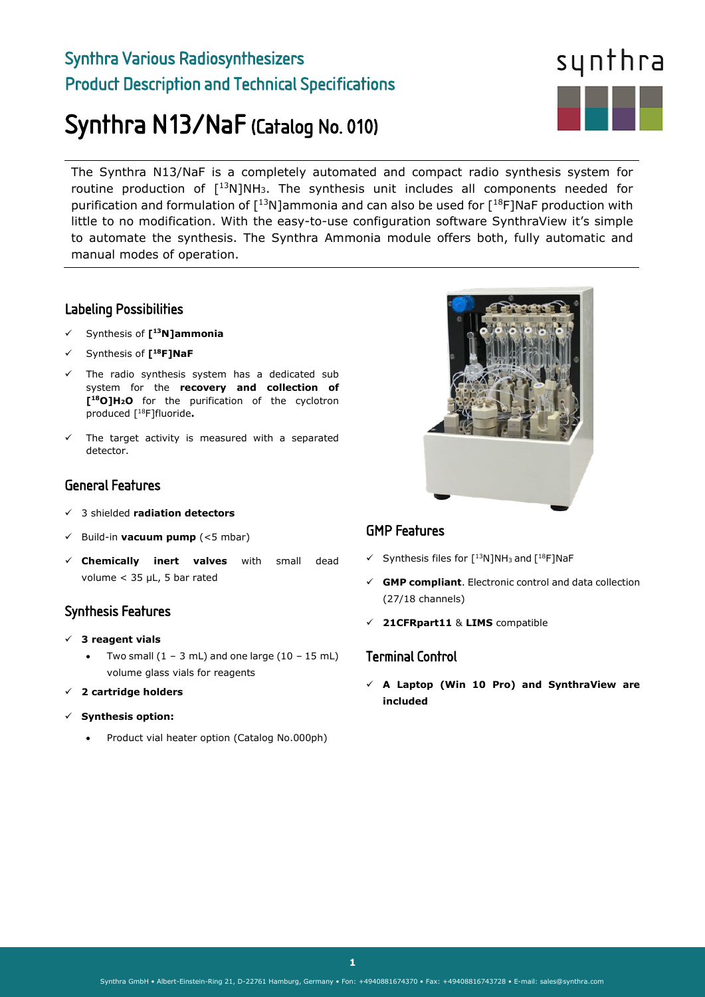## Synthra Various Radiosynthesizers Product Description and Technical Specifications

# Synthra N13/NaF (Catalog No. 010)



The Synthra N13/NaF is a completely automated and compact radio synthesis system for routine production of  $[13N]NH_3$ . The synthesis unit includes all components needed for purification and formulation of  $[13N]$ ammonia and can also be used for  $[18F]$ NaF production with little to no modification. With the easy-to-use configuration software SynthraView it's simple to automate the synthesis. The Synthra Ammonia module offers both, fully automatic and manual modes of operation.

#### Labeling Possibilities

- Synthesis of **[13N]ammonia**
- Synthesis of **[18F]NaF**
- $\checkmark$  The radio synthesis system has a dedicated sub system for the **recovery and collection of [18O]H2O** for the purification of the cyclotron produced [18F]fluoride**.**
- The target activity is measured with a separated detector.

#### General Features

- 3 shielded **radiation detectors**
- Build-in **vacuum pump** (<5 mbar)
- **Chemically inert valves** with small dead volume < 35 µL, 5 bar rated

## Synthesis Features

- **3 reagent vials** 
	- Two small  $(1 3$  mL) and one large  $(10 15$  mL) volume glass vials for reagents
- **2 cartridge holders**
- **Synthesis option:**
	- Product vial heater option (Catalog No.000ph)



## GMP Features

- $\checkmark$  Synthesis files for  $\lceil$ <sup>13</sup>N]NH<sub>3</sub> and  $\lceil$ <sup>18</sup>F]NaF
- **GMP compliant**. Electronic control and data collection (27/18 channels)
- **21CFRpart11** & **LIMS** compatible

#### Terminal Control

 **A Laptop (Win 10 Pro) and SynthraView are included**